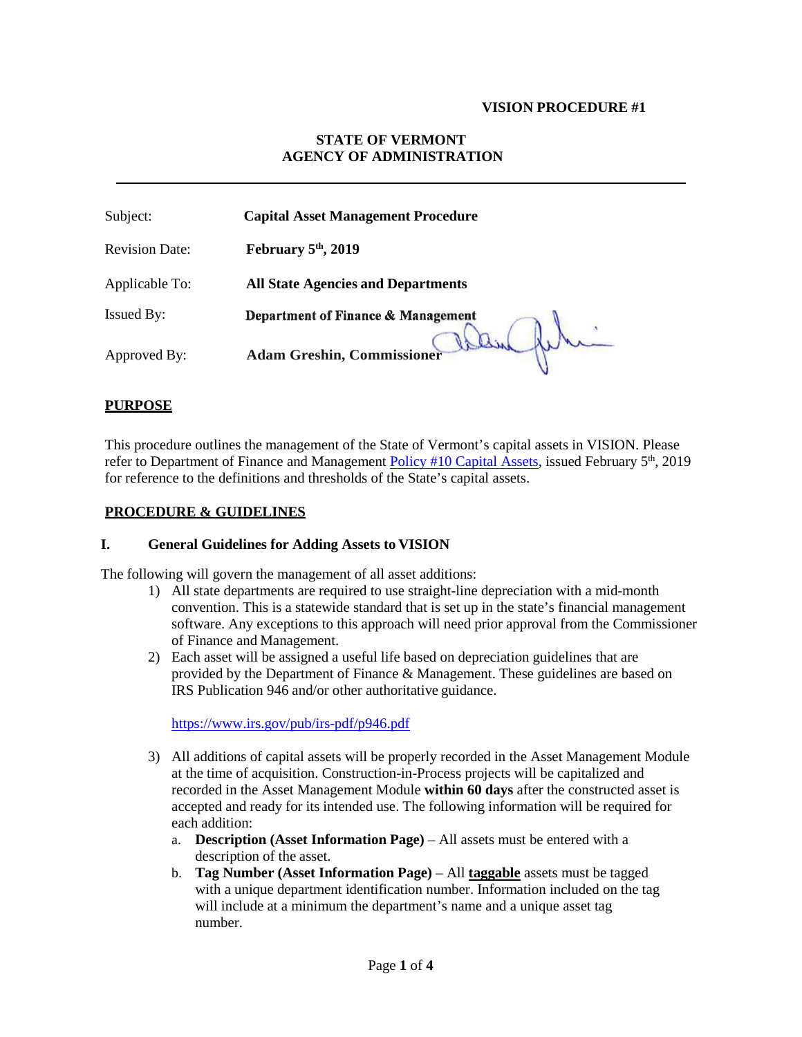#### **VISION PROCEDURE #1**

# **STATE OF VERMONT AGENCY OF ADMINISTRATION**

| Subject:              | <b>Capital Asset Management Procedure</b> |
|-----------------------|-------------------------------------------|
| <b>Revision Date:</b> | February $5th$ , 2019                     |
| Applicable To:        | <b>All State Agencies and Departments</b> |
| <b>Issued By:</b>     | Department of Finance & Management        |
| Approved By:          | <b>Adam Greshin, Commissioner</b>         |

### **PURPOSE**

This procedure outlines the management of the State of Vermont's capital assets in VISION. Please refer to Department of Finance and Management Policy #10 [Capital Assets,](https://finance.vermont.gov/policies-and-procedures/finance-and-management-policies) issued February 5<sup>th</sup>, 2019 for reference to the definitions and thresholds of the State's capital assets.

## **PROCEDURE & GUIDELINES**

#### **I. General Guidelines for Adding Assets to VISION**

The following will govern the management of all asset additions:

- 1) All state departments are required to use straight-line depreciation with a mid-month convention. This is a statewide standard that is set up in the state's financial management software. Any exceptions to this approach will need prior approval from the Commissioner of Finance and Management.
- 2) Each asset will be assigned a useful life based on depreciation guidelines that are provided by the Department of Finance & Management. These guidelines are based on IRS Publication 946 and/or other authoritative guidance.

<https://www.irs.gov/pub/irs-pdf/p946.pdf>

- 3) All additions of capital assets will be properly recorded in the Asset Management Module at the time of acquisition. Construction-in-Process projects will be capitalized and recorded in the Asset Management Module **within 60 days** after the constructed asset is accepted and ready for its intended use. The following information will be required for each addition:
	- a. **Description (Asset Information Page)**  All assets must be entered with a description of the asset.
	- b. **Tag Number (Asset Information Page)**  All **taggable** assets must be tagged with a unique department identification number. Information included on the tag will include at a minimum the department's name and a unique asset tag number.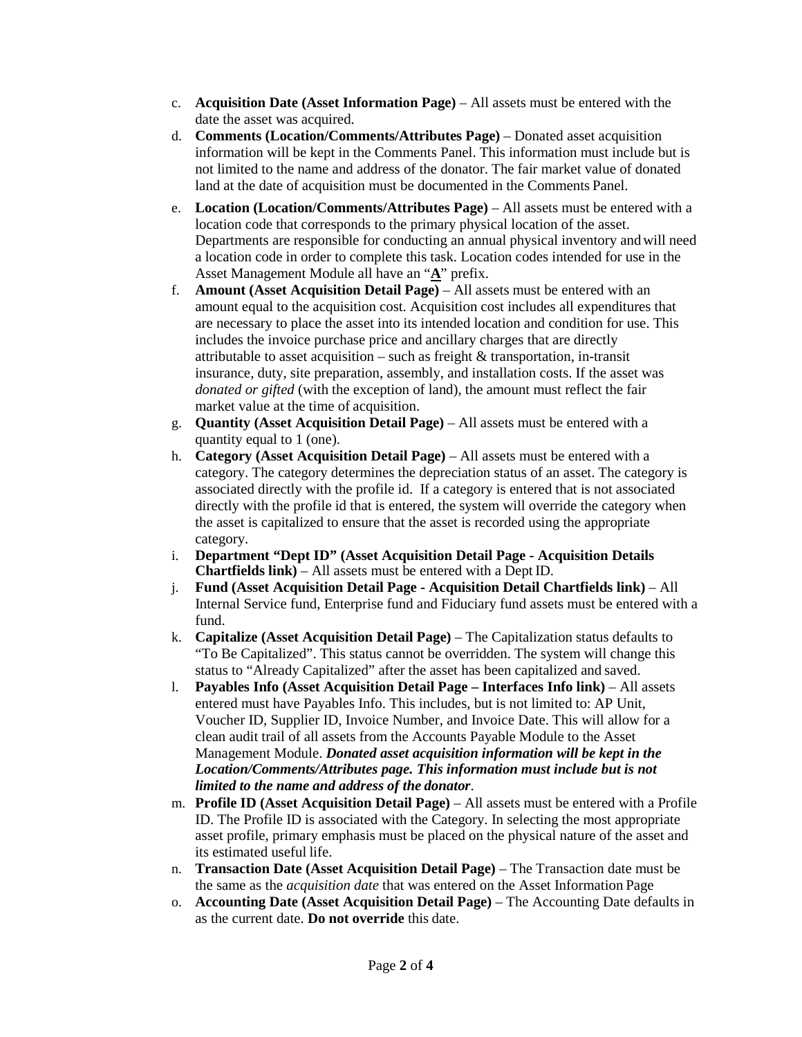- c. **Acquisition Date (Asset Information Page)**  All assets must be entered with the date the asset was acquired.
- d. **Comments (Location/Comments/Attributes Page)**  Donated asset acquisition information will be kept in the Comments Panel. This information must include but is not limited to the name and address of the donator. The fair market value of donated land at the date of acquisition must be documented in the Comments Panel.
- e. **Location (Location/Comments/Attributes Page)**  All assets must be entered with a location code that corresponds to the primary physical location of the asset. Departments are responsible for conducting an annual physical inventory andwill need a location code in order to complete this task. Location codes intended for use in the Asset Management Module all have an "**A**" prefix.
- f. **Amount (Asset Acquisition Detail Page)** All assets must be entered with an amount equal to the acquisition cost. Acquisition cost includes all expenditures that are necessary to place the asset into its intended location and condition for use. This includes the invoice purchase price and ancillary charges that are directly attributable to asset acquisition – such as freight  $\&$  transportation, in-transit insurance, duty, site preparation, assembly, and installation costs. If the asset was *donated or gifted* (with the exception of land), the amount must reflect the fair market value at the time of acquisition.
- g. **Quantity (Asset Acquisition Detail Page)** All assets must be entered with a quantity equal to 1 (one).
- h. **Category (Asset Acquisition Detail Page)**  All assets must be entered with a category. The category determines the depreciation status of an asset. The category is associated directly with the profile id. If a category is entered that is not associated directly with the profile id that is entered, the system will override the category when the asset is capitalized to ensure that the asset is recorded using the appropriate category.
- i. **Department "Dept ID" (Asset Acquisition Detail Page - Acquisition Details Chartfields link)** – All assets must be entered with a Dept ID.
- j. **Fund (Asset Acquisition Detail Page - Acquisition Detail Chartfields link)**  All Internal Service fund, Enterprise fund and Fiduciary fund assets must be entered with a fund.
- k. **Capitalize (Asset Acquisition Detail Page)**  The Capitalization status defaults to "To Be Capitalized". This status cannot be overridden. The system will change this status to "Already Capitalized" after the asset has been capitalized and saved.
- l. **Payables Info (Asset Acquisition Detail Page – Interfaces Info link)**  All assets entered must have Payables Info. This includes, but is not limited to: AP Unit, Voucher ID, Supplier ID, Invoice Number, and Invoice Date. This will allow for a clean audit trail of all assets from the Accounts Payable Module to the Asset Management Module. *Donated asset acquisition information will be kept in the Location/Comments/Attributes page. This information must include but is not limited to the name and address of the donator*.
- m. **Profile ID (Asset Acquisition Detail Page)**  All assets must be entered with a Profile ID. The Profile ID is associated with the Category. In selecting the most appropriate asset profile, primary emphasis must be placed on the physical nature of the asset and its estimated useful life.
- n. **Transaction Date (Asset Acquisition Detail Page)**  The Transaction date must be the same as the *acquisition date* that was entered on the Asset Information Page
- o. **Accounting Date (Asset Acquisition Detail Page)**  The Accounting Date defaults in as the current date. **Do not override** this date.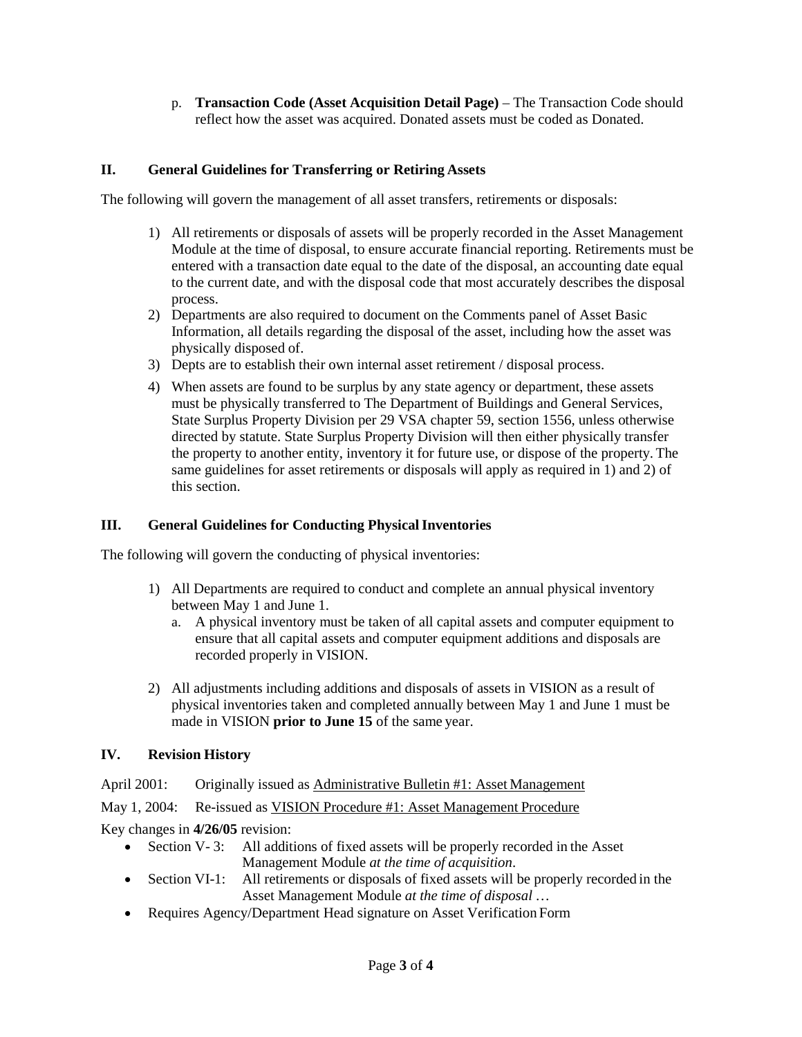p. **Transaction Code (Asset Acquisition Detail Page)** – The Transaction Code should reflect how the asset was acquired. Donated assets must be coded as Donated.

# **II. General Guidelines for Transferring or Retiring Assets**

The following will govern the management of all asset transfers, retirements or disposals:

- 1) All retirements or disposals of assets will be properly recorded in the Asset Management Module at the time of disposal, to ensure accurate financial reporting. Retirements must be entered with a transaction date equal to the date of the disposal, an accounting date equal to the current date, and with the disposal code that most accurately describes the disposal process.
- 2) Departments are also required to document on the Comments panel of Asset Basic Information, all details regarding the disposal of the asset, including how the asset was physically disposed of.
- 3) Depts are to establish their own internal asset retirement / disposal process.
- 4) When assets are found to be surplus by any state agency or department, these assets must be physically transferred to The Department of Buildings and General Services, State Surplus Property Division per 29 VSA chapter 59, section 1556, unless otherwise directed by statute. State Surplus Property Division will then either physically transfer the property to another entity, inventory it for future use, or dispose of the property. The same guidelines for asset retirements or disposals will apply as required in 1) and 2) of this section.

## **III. General Guidelines for Conducting Physical Inventories**

The following will govern the conducting of physical inventories:

- 1) All Departments are required to conduct and complete an annual physical inventory between May 1 and June 1.
	- a. A physical inventory must be taken of all capital assets and computer equipment to ensure that all capital assets and computer equipment additions and disposals are recorded properly in VISION.
- 2) All adjustments including additions and disposals of assets in VISION as a result of physical inventories taken and completed annually between May 1 and June 1 must be made in VISION **prior to June 15** of the same year.

#### **IV. Revision History**

April 2001: Originally issued as Administrative Bulletin #1: Asset Management

May 1, 2004: Re-issued as VISION Procedure #1: Asset Management Procedure

Key changes in **4/26/05** revision:

- Section V-3: All additions of fixed assets will be properly recorded in the Asset Management Module *at the time of acquisition*.
- Section VI-1: All retirements or disposals of fixed assets will be properly recorded in the Asset Management Module *at the time of disposal* …
- Requires Agency/Department Head signature on Asset Verification Form